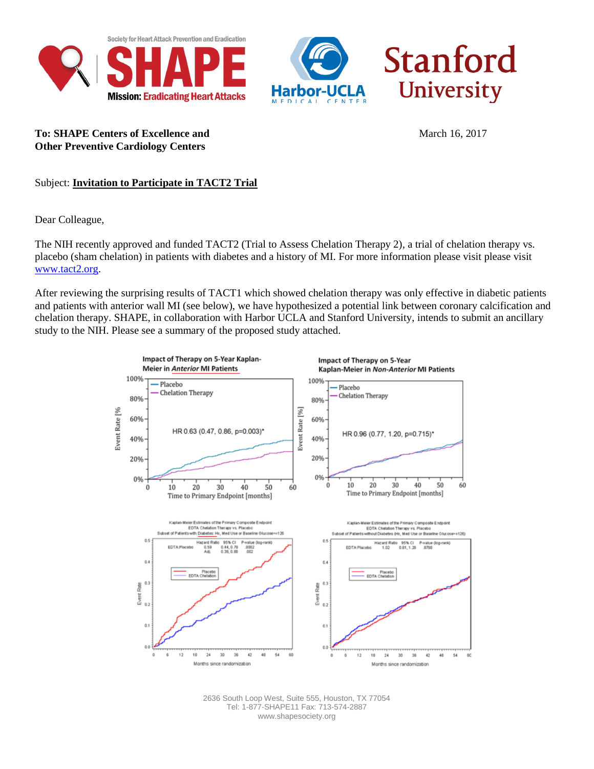



**To: SHAPE Centers of Excellence and** March 16, 2017 **Other Preventive Cardiology Centers**

Subject: **Invitation to Participate in TACT2 Trial** 

Dear Colleague,

The NIH recently approved and funded TACT2 [\(Trial to Assess Chelation Therapy 2\),](http://circoutcomes.ahajournals.org/content/early/2013/11/19/CIRCOUTCOMES.113.000663.long) a trial of chelation therapy vs. placebo (sham chelation) in patients with diabetes and a history of MI. For more information please visit please visit [www.tact2.org.](http://www.tact2.org/)

After reviewing the surprising results of TACT1 which showed chelation therapy was only effective in diabetic patients and patients with anterior wall MI (see below), we have hypothesized a potential link between coronary calcification and chelation therapy. SHAPE, in collaboration with Harbor UCLA and Stanford University, intends to submit an ancillary study to the NIH. Please see a summary of the proposed study attached.



2636 South Loop West, Suite 555, Houston, TX 77054 Tel: 1-877-SHAPE11 Fax: 713-574-2887 www.shapesociety.org